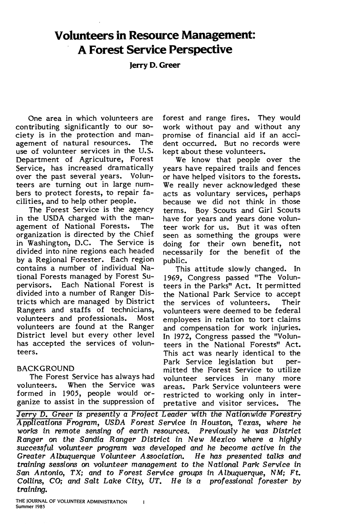# **Volunteers in Resource Management: A Forest Service Perspective**

**Jerry D. Greer** 

One area in which volunteers are contributing significantly to our society is in the protection and management of natural resources. The use of volunteer services in the U.S. Department of Agriculture, Forest Service, has increased dramatically over the past several years. Volunteers are turning out in large numbers to protect forests, to repair facilities, and to help other people.

The Forest Service is the agency in the USDA charged with the man-<br>agement of National Forests. The agement of National Forests. organization is directed by the Chief in Washington, D.C. The Service is divided into nine regions each headed by a Regional Forester. Each region contains a number of individual National Forests managed by Forest Supervisors. Each National Forest is divided into a number of Ranger Districts which are managed by District Rangers and staffs of technicians, volunteers and professionals. Most volunteers are found at the Ranger District level but every other level has accepted the services of volunteers.

volunteers. When the Service was areas. Park Service volunteers were formed in 1905, people would or-<br>ganize to assist in the suppression of pretative and visitor services. The

forest and range fires. They would work without pay and without any promise of financial aid if an accident occurred. But no records were kept about these volunteers.

We know that people over the years have repaired trails and fences or have helped visitors to the forests. We really never acknowledged these acts as voluntary services, perhaps because we did not think in those terms. Boy. Scouts and Girl Scouts have for years and years done volunteer work for us. But it was often seen as something the groups were doing for their own benefit, not necessarily for the benefit of the public.

This attitude slowly changed. In 1969, Congress passed "The Volunteers in the Parks" Act. It permitted the National Park Service to accept<br>the services of volunteers. Their the services of volunteers. volunteers were deemed to be federal employees in relation to tort claims and compensation for work injuries. In 1972, Congress passed the "Volunteers in the National Forests" Act. This act was nearly identical to the Park Service legislation but per-BACK GROUND<br>The Forest Service has always had volunteer services in many more st Service has always had volunteer services in many more<br>When the Service was areas, Park-Service-volunteers-were pretative and visitor services. The

Jerry D. Greer is presently a Project Leader with the Nationwide Forestry Applications Program, USDA Forest Service in Houston, Texas, where he works in remote sensing of earth resources. Previously he was District Ranger on the Sandia Ranger District in New Mexico where a highly successful volunteer program was developed and he become active in the Greater Albuquerque Volunteer Association. He has presented talks and Greater Albuquerque Volunteer Association. training sessions on volunteer management to the National Park Service in San Antonio, TX; and to Forest Service groups in Albuquerque, NM; Ft. Collins, CO; and Salt Lake City, UT. He is a professional forester by training.

 $\mathbf{I}$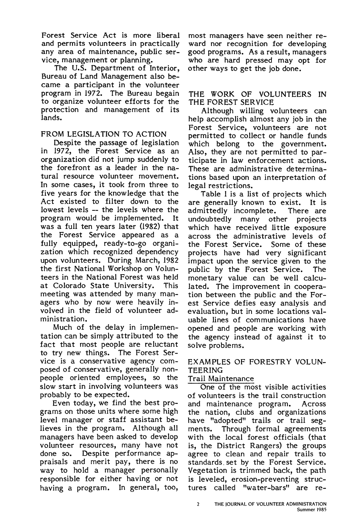Forest Service Act is more liberal and permits volunteers in practically any area of maintenance, public service, management or planning.

The U.S. Department of Interior, Bureau of Land Management also became a participant in the volunteer program in 1972. The Bureau begain to organize volunteer efforts for the protection and management of its lands.

# FROM LEGISLATION TO ACTION

Despite the passage of legislation in 1972, the Forest Service as an organization did not jump suddenly to the forefront as a leader in the natural resource volunteer movement. In some cases, it took from three to five years for the knowledge that the Act existed to filter down to the lowest levels -- the levels where the program would be implemented. It was a full ten years later (1982) that the Forest Service appeared as a fully equipped, ready-to-go organization which recognized dependency upon volunteers. During March, 1982 the first National Workshop on Volunteers in the National Forest was held at Colorado State University. This meeting was attended by many managers who by now were heavily involved in the field of volunteer administration.

Much of the delay in implementation can be simply attributed to the fact that most people are reluctant to try new things. The Forest Service is a conservative agency composed of conservative, generally nonpeople oriented employees, so the slow start in involving volunteers was probably to be expected.

Even today, we find the best programs on those units where some high level manager or staff assistant believes in the program. Although all managers have been asked to develop volunteer resources, many have not done so. Despite performance appraisals and merit pay, there is no way to hold a manager personally responsible for either having or not having a program. In general, too,

most managers have seen neither reward nor recognition for developing good programs. As a result, managers who are hard pressed may opt for other ways to get the job done.

THE WORK OF VOLUNTEERS IN THE FOREST SERVICE

Although willing volunteers can help accomplish almost any job in the Forest Service, volunteers are not permitted to collect or handle funds which belong to the government. Also, they are not permitted to participate in law enforcement actions. These are administrative determinations based upon an interpretation of legal restrictions.

Table l is a list of projects which are generally known to exist. It is admittedly incomplete. There are undoubtedly many other projects which have received little exposure across the administrative levels of the Forest Service. projects have had very significant impact upon the service given to the public by the Forest Service. The monetary value can be well calculated. The improvement in cooperation between the public and the Forest Service defies easy analysis and evaluation, but in some locations valuable lines of communications have opened and people are working with the agency instead of against it to solve problems.

## EXAMPLES OF FORESTRY VOLUN-TEERING

## Trail Maintenance

One of the most visible activities of volunteers is the trail construction and maintenance program. Across the nation, clubs and organizations have "adopted" trails or trail segments. Through formal agreements with the local forest officials (that is, the District Rangers) the groups agree to clean and repair trails to standards. set by the Forest Service. Vegetation is trimmed back, the path is leveled, erosion-preventing structures called "water-bars" are re-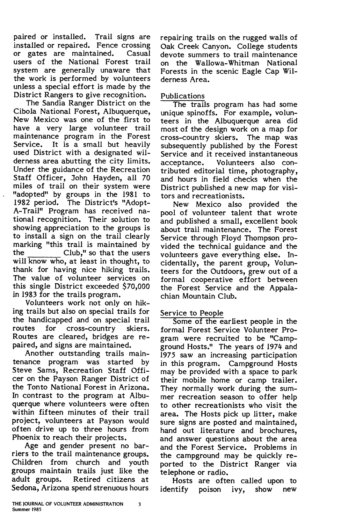paired or installed. Trail signs are installed or repaired. Fence crossing<br>or gates are maintained. Casual or gates are maintained. users of the National Forest trail system are generally unaware that the work *is* performed by volunteers unless a special effort *is* made by the *District* Rangers to give recognition.

The Sandia Ranger *District* on the Cibola National Forest, Albuquerque, New Mexico was one of the first to have a very large volunteer trail maintenance program in the Forest<br>Service. It is a small but heavily It is a small but heavily used *District with* a designated wilderness area abutting the *city limits.*  Under the guidance of the Recreation Staff Officer, John Hayden, all 70 miles of trail on their system were "adopted" by groups *in* the 1981 to **1982** period. The District's "Adopt-A-Trail" Program has received national recognition. Their solution to showing appreciation to the groups *is*  to install a sign on the trail clearly marking "this trail is maintained by<br>the Club." so that the users Club," so that the users will know who, at least *in* thought, to thank for having nice hiking trails. The value of volunteer services on *this* single *District* exceeded \$70,000 *in* 1983 for the trails program.

Volunteers work not only on hiking trails but also on special trails for the handicapped and on special trail routes for cross-country skiers. Routes are cleared, bridges are repaired, and signs are maintained.

Another outstanding trails maintenance program was started by Steve Sams, Recreation Staff Officer on the Payson Ranger District of the Tonto National Forest in Arizona. In contrast to the program at Albuquerque where volunteers were often within fifteen minutes of their trail project, volunteers at Payson would often drive up to three hours from Phoenix to reach their projects.

Age and gender present no barriers to the trail maintenance groups. Children from church and youth groups *maintain* trails just like the Retired citizens at Sedona, Arizona spend strenuous hours

repairing trails on the rugged walls of Oak Creek Canyon. College students devote summers to trail maintenance on the Wallowa-Whitman National Forests *in* the scenic Eagle Cap Wilderness Area.

# Publications

The trails program has had some unique spinoffs. For example, volunteers in the Albuquerque area did most of the design work on a map for cross-country skiers. The map was subsequently published by the Forest Service and *it* received instantaneous acceptance. Volunteers also contributed editorial time, photography, and hours in field checks when the *District* published a new map for visitors and recreationists.

New Mexico also provided the pool of volunteer talent that wrote and published a small, excellent book about trail maintenance. The Forest Service through Floyd Thompson provided the technical guidance and the volunteers gave everything else. Incidentally, the parent group, Volunteers for the Outdoors, grew out of a formal cooperative effort between the Forest Service and the Appalachian Mountain Club.

## Service to People

Some of the earliest people in the formal Forest Service Volunteer Program were recruited to be "Campground Hosts." The years of 1974 and 1975 saw an increasing participation in this program. Campground Hosts may be provided with a space to park their mobile home or camp trailer. They normally work during the summer recreation season to offer help to other recreationists who visit the area. The Hosts pick up litter, make sure signs are posted and maintained, hand out literature and brochures, and answer questions about the area and the Forest Service. Problems in the campground may be quickly reported to the District Ranger via telephone or radio.

Hosts are often called upon to identify poison ivy, show new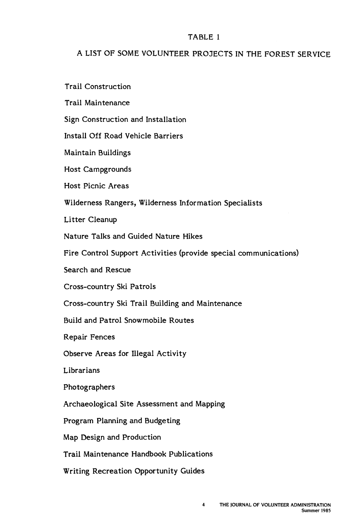#### TABLE 1

# A LIST OF SOME VOLUNTEER PROJECTS IN THE FOREST SERVICE

Trail Construction

Trail Maintenance

Sign Construction and Installation

Install Off Road Vehicle Barriers

Maintain Buildings

Host Campgrounds

Host Picnic Areas

Wilderness Rangers, Wilderness Information Specialists

Litter Cleanup

Nature Talks and Guided Nature Hikes

Fire Control Support Activities (provide special communications)

Search and Rescue

Cross-country Ski Patrols

Cross-country Ski Trail Building and Maintenance

Build and Patrol Snowmobile Routes

Repair Fences

Observe Areas for Illegal Activity

Librarians

Photographers

Archaeological Site Assessment and Mapping

Program Planning and Budgeting

Map Design and Production

Trail Maintenance Handbook Publications

Writing Recreation Opportunity Guides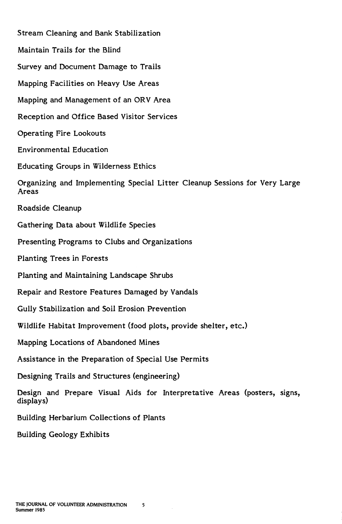Stream Cleaning and Bank Stabilization Maintain Trails for the Blind Survey and Document Damage to Trails Mapping Facilities on Heavy Use Areas Mapping and Management of an ORV Area Reception and Office Based Visitor Services Operating Fire Lookouts Environmental Education Educating Groups in Wilderness Ethics Organizing and Implementing Special Litter Cleanup Sessions for Very Large Areas Roadside Cleanup Gathering Data about Wildlife Species Presenting Programs to Clubs and Organizations Planting Trees in Forests Planting and Maintaining Landscape Shrubs Repair and Restore Features Damaged by Vandals Gully Stabilization and Soil Erosion Prevention Wildlife Habitat Improvement (food plots, provide shelter, etc.) Mapping Locations of Abandoned Mines Assistance in the Preparation of Special Use Permits Designing Trails and Structures (engineering) Design and Prepare Visual Aids for Interpretative Areas (posters, signs, displays) Building Herbarium Collections of Plants Building Geology Exhibits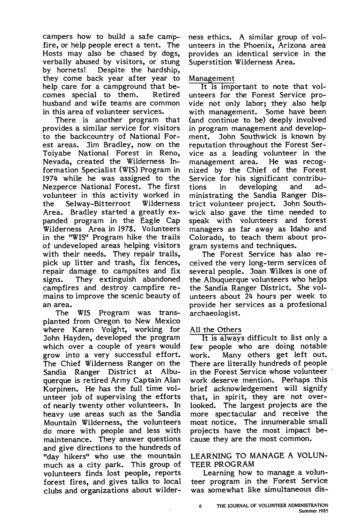campers how to build a safe campfire, or help people erect a tent. The Hosts may also be chased by dogs, verbally abused by visitors, or stung by hornets! Despite the hardship, they come back year after year to help care for a campground that becomes special to them. Retired husband and wife teams are common in this area of volunteer services.

There is another program that provides a similar service for visitors to the backcountry of National Forest areas. Jim Bradley, now on the Toiyabe National Forest in Reno, Nevada, created the Wilderness Information Specialist **(WIS)** Program in 1974 while he was assigned to the Nezperce National Forest. The first volunteer in this activity worked in the Selway-Bitterroot Area. Bradley started a greatly expanded program in the Eagle Cap Wilderness Area in 1978. Volunteers in the "WIS" Program hike the trails of undeveloped areas helping visitors with their needs. They repair trails, pick up litter and trash, fix fences, repair damage to campsites and fix signs. They extinguish abandoned campfires and destroy campfire remains to improve the scenic beauty of an area.

The WIS Program was transplanted from Oregon to New Mexico where Karen Voight, working for John Hayden, developed the program which over a couple of years would grow into a very successful effort. The Chief Wilderness Ranger on the Sandia Ranger District at Albuquerque is retired Army Captain Alan Korpinen. He has the full time volunteer job of supervising the efforts of nearly twenty other volunteers. In heavy use areas such as the Sandia Mountain Wilderness, the volunteers do more with people and less with maintenance. They answer questions and give directions to the hundreds of "day hikers" who use the mountain much as a city park. This group of volunteers finds lost people, reports forest fires, and gives talks to local clubs and organizations about wilder-

ness ethics. A similar group of volunteers in the Phoenix, Arizona area provides an identical service in the Superstition Wilderness Area.

#### Management

It is important to note that volunteers for the Forest Service provide not only labor; they also help with management. Some have been (and continue to be) deeply involved in program management and development. John Southwick is known by reputation throughout the Forest Service as a leading volunteer in the<br>management area. He was recogmanagement area. nized by the Chief of the Forest Service for his significant contributions in developing and administrating the Sandia Ranger District volunteer project. John Southwick also gave the time needed to speak with volunteers and forest managers as far away as Idaho and Colorado, to teach them about program systems and techniques.

The Forest Service has also received the very long-term services of several people. Joan **Wilkes** is one of the Albuquerque volunteers who helps the Sandia Ranger District. She volunteers about 24 hours per week to provide her services as a profesional archaeologist.

## All the Others

It is always difficult to list only a few people who are doing notable work. Many others get left out. There are literally hundreds of people in the Forest Service whose volunteer work deserve mention. Perhaps this brief acknowledgement will signify that, in spirit, they are not overlooked. The largest projects are the more spectacular and receive the most notice. The innumerable small projects have the most impact because they are the most common.

#### LEARNING TO MANAGE A VOLUN-TEER PROGRAM

Learning how to manage a volunteer program in the Forest Service was somewhat like simultaneous dis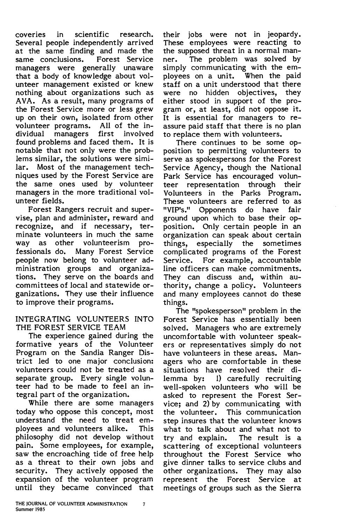coveries in scientific research. Several people independently arrived at the same finding and made the<br>same conclusions. Forest Service same conclusions. managers were generally unaware that a body of knowledge about volunteer management existed or knew nothing about organizations such as AVA. As a result, many programs of the Forest Service more or less grew up on their own, isolated from other volunteer programs. All of the individual managers first involved found problems and faced them. It is notable that not only were the problems similar, the solutions were similar. Most of the management techniques used by the Forest Service are the same ones used by volunteer managers in the more traditional volunteer fields.

Forest Rangers recruit and supervise, plan and administer, reward and recognize, and if necessary, terminate volunteers in much the same way as other volunteerism professionals do. Many Forest Service people now belong to volunteer administration groups and organizations. They serve on the boards and committees of local and statewide organizations. They use their influence to improve their programs.

#### INTEGRATING VOLUNTEERS INTO THE FOREST SERVICE TEAM

The experience gained during the formative years of the Volunteer Program on the Sandia Ranger District led to one major conclusion: volunteers could not be treated as a separate group. Every single volunteer had to be made to feel an integral part of the organization.

While there are some managers today who oppose this concept, most understand the need to treat employees and volunteers alike. This philosophy did not develop without pain. Some employees, for example, saw the encroaching tide of free help as a threat to their own jobs and security. They actively opposed the expansion of the volunteer program until they became convinced that

their jobs were not in jeopardy. These employees were reacting to the supposed threat in a normal manner. The problem was solved by simply communicating with the employees on a unit. When the paid staff on a unit understood that there were no hidden objectives, they either stood in support of the program or, at least, did not oppose it. It is essential for managers to reassure paid staff that there is no plan to replace them with volunteers.

There continues to be some opposition to permitting volunteers to serve as spokespersons for the Forest Service Agency, though the National Park Service has encouraged volunteer representation through their Volunteers in the Parks Program. These volunteers are referred to as "VIP's." Opponents do have fair ground upon which to base their opposition. Only certain people in an organization can speak about certain things, especially the sometimes complicated programs of the Forest Service. For example, accountable line officers can make commitments. They can discuss and, within authority, change a policy. Volunteers and many employees cannot do these things.

The "spokesperson" problem in the Forest Service has essentially been solved. Managers who are extremely uncomfortable with volunteer speakers or representatives simply do not have volunteers in these areas. Managers who are comfortable in these situations have resolved their dilemma by: 1) carefully recruiting well-spoken volunteers who will be asked to represent the Forest Service; and 2) by communicating with the volunteer. This communication step insures that the volunteer knows what to talk about and what not to try and explain. The result is a scattering of exceptional volunteers throughout the Forest **Service** who give dinner talks to service clubs and other organizations. They may also represent the Forest Service at meetings of groups such as the Sierra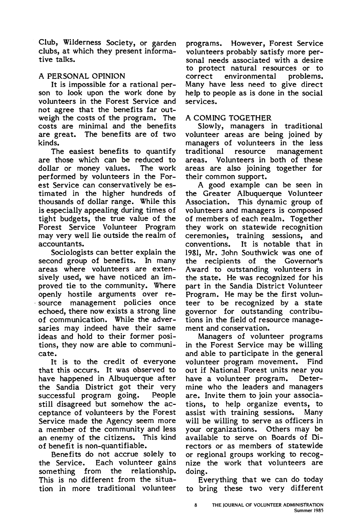Club, Wilderness Society, or garden clubs, at which they present informative talks.

# A PERSONAL OPINION

It is impossible for a rational person to look upon the work done by volunteers in the Forest Service and not agree that the benefits far outweigh the costs of the program. The costs are minimal and the benefits are great. The benefits are of two kinds.

The easiest benefits to quantify are those which can be reduced to<br>dollar or money values. The work dollar or money values. performed by volunteers in the Forest Service can conservatively be estimated in the higher hundreds of thousands of dollar range. While this is especially appealing during times of tight budgets, the true value of the Forest Service Volunteer Program may very well lie outside the realm of accountants.

Sociologists can better explain the second group of benefits. In many areas where volunteers are extensively used, we have noticed an improved tie to the community. Where openly hostile arguments over re- . source management policies once echoed, there now exists a strong line of communication. While the adversaries may indeed have their same ideas and hold to their former positions, they now are able to communicate.

It is to the credit of everyone that this occurs. It was observed to have happened in Albuquerque after the Sandia District got their very successful program going. People still disagreed but somehow the acceptance of volunteers by the Forest Service made the Agency seem more a member of the community and less an enemy of the citizens. This kind of benefit is non-quantifiable.

Benefits do not accrue solely to the Service. Each volunteer gains something from the relationship. This is no different from the situation in more traditional volunteer

programs. However, Forest Service volunteers probably satisfy more personal needs associated with a desire to protect natural resources or to<br>correct environmental problems. environmental Many have less need to give direct help to people as is done in the social services.

# A COMING TOGETHER

Slowly, managers in traditional volunteer areas are being joined by managers of volunteers in the less traditional resource management areas. Volunteers in both of these areas are also joining together for their common support.

A good example can be seen in the Greater Albuquerque Volunteer Association. This dynamic group of volunteers and managers is composed of members of each realm. Together they work on statewide recognition ceremonies, training sessions, and It is notable that in 1981, Mr. John Southwick was one of the recipients of the Governor's Award to outstanding volunteers in the state. He was recognized for his part in the Sandia District Volunteer Program. He may be the first volunteer to be recognized by a state governor for outstanding contributions in the field of resource management and conservation.

Managers of volunteer programs in the Forest Service may be willing and able to participate in the general volunteer program movement. Find out if National Forest units near you have a volunteer program. Determine who the leaders and managers are. Invite them to join your associations, to help organize events, to assist with training sessions. Many will be willing to serve as officers in your organizations. Others may be available to serve on Boards of Directors or as members of statewide or regional groups working to recognize the work that volunteers are doing.

Everything that we can do today to bring these two very different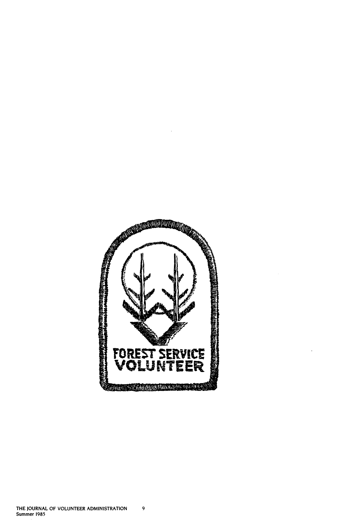